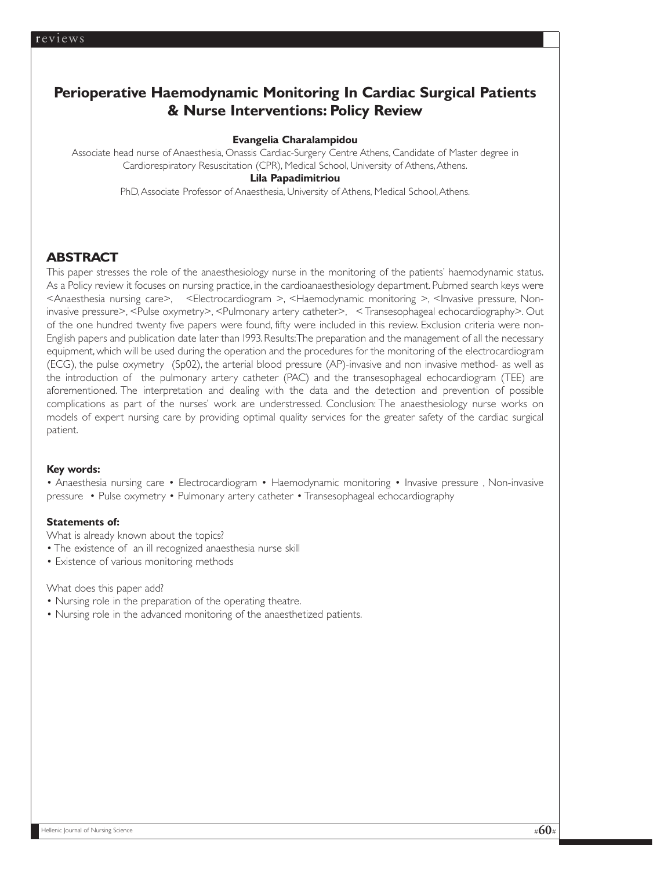## **Perioperative Haemodynamic Monitoring In Cardiac Surgical Patients & Nurse Interventions: Policy Review**

### **Evangelia Charalampidou**

Associate head nurse of Anaesthesia, Onassis Cardiac-Surgery Centre Athens, Candidate of Master degree in Cardiorespiratory Resuscitation (CPR), Medical School, University of Athens, Athens. **Lila Papadimitriou** 

PhD,Associate Professor of Anaesthesia, University of Athens, Medical School,Athens.

## **ABSTRACT**

This paper stresses the role of the anaesthesiology nurse in the monitoring of the patients' haemodynamic status. As a Policy review it focuses on nursing practice, in the cardioanaesthesiology department. Pubmed search keys were <Anaesthesia nursing care>, <Electrocardiogram >, <Haemodynamic monitoring >, <Invasive pressure, Noninvasive pressure>, <Pulse oxymetry>, <Pulmonary artery catheter>, < Transesophageal echocardiography>. Out of the one hundred twenty five papers were found, fifty were included in this review. Exclusion criteria were non-English papers and publication date later than 1993. Results:The preparation and the management of all the necessary equipment, which will be used during the operation and the procedures for the monitoring of the electrocardiogram (ECG), the pulse oxymetry (Sp02), the arterial blood pressure (AP)-invasive and non invasive method- as well as the introduction of the pulmonary artery catheter (PAC) and the transesophageal echocardiogram (TEE) are aforementioned. The interpretation and dealing with the data and the detection and prevention of possible complications as part of the nurses' work are understressed. Conclusion: The anaesthesiology nurse works on models of expert nursing care by providing optimal quality services for the greater safety of the cardiac surgical patient.

### **Key words:**

• Anaesthesia nursing care • Electrocardiogram • Haemodynamic monitoring • Invasive pressure , Non-invasive pressure • Pulse oxymetry • Pulmonary artery catheter • Transesophageal echocardiography

#### **Statements of:**

What is already known about the topics?

- The existence of an ill recognized anaesthesia nurse skill
- Existence of various monitoring methods

What does this paper add?

- Nursing role in the preparation of the operating theatre.
- Nursing role in the advanced monitoring of the anaesthetized patients.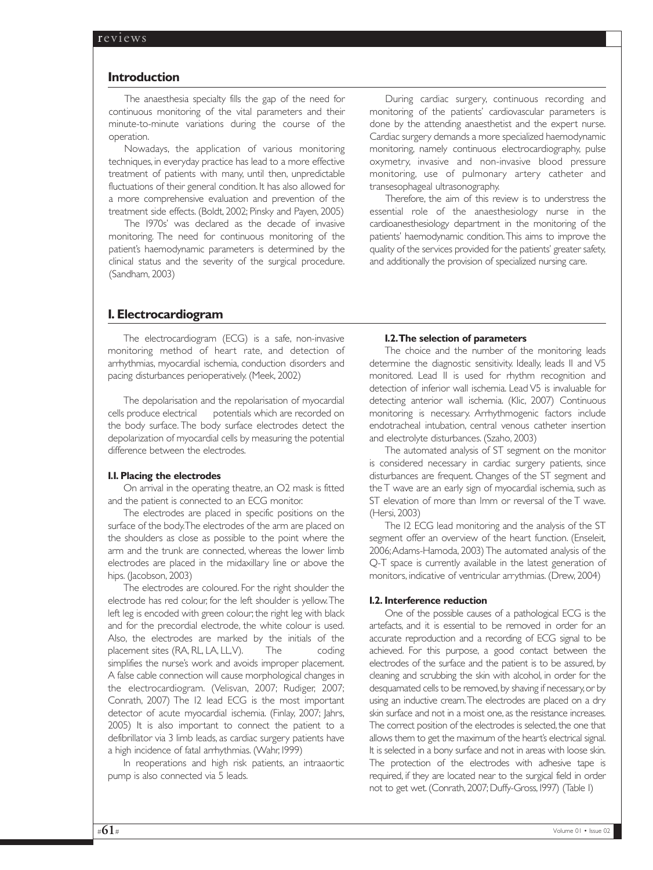#### **Introduction**

The anaesthesia specialty fills the gap of the need for continuous monitoring of the vital parameters and their minute-to-minute variations during the course of the operation.

Nowadays, the application of various monitoring techniques, in everyday practice has lead to a more effective treatment of patients with many, until then, unpredictable fluctuations of their general condition. It has also allowed for a more comprehensive evaluation and prevention of the treatment side effects. (Boldt, 2002; Pinsky and Payen, 2005)

The 1970s' was declared as the decade of invasive monitoring. The need for continuous monitoring of the patient's haemodynamic parameters is determined by the clinical status and the severity of the surgical procedure. (Sandham, 2003)

During cardiac surgery, continuous recording and monitoring of the patients' cardiovascular parameters is done by the attending anaesthetist and the expert nurse. Cardiac surgery demands a more specialized haemodynamic monitoring, namely continuous electrocardiography, pulse oxymetry, invasive and non-invasive blood pressure monitoring, use of pulmonary artery catheter and transesophageal ultrasonography.

Therefore, the aim of this review is to understress the essential role of the anaesthesiology nurse in the cardioanesthesiology department in the monitoring of the patients' haemodynamic condition.This aims to improve the quality of the services provided for the patients' greater safety, and additionally the provision of specialized nursing care.

## **1. Electrocardiogram**

The electrocardiogram (ECG) is a safe, non-invasive monitoring method of heart rate, and detection of arrhythmias, myocardial ischemia, conduction disorders and pacing disturbances perioperatively. (Meek, 2002)

The depolarisation and the repolarisation of myocardial cells produce electrical potentials which are recorded on the body surface. The body surface electrodes detect the depolarization of myocardial cells by measuring the potential difference between the electrodes.

#### **1.1. Placing the electrodes**

On arrival in the operating theatre, an O2 mask is fitted and the patient is connected to an ECG monitor.

The electrodes are placed in specific positions on the surface of the body.The electrodes of the arm are placed on the shoulders as close as possible to the point where the arm and the trunk are connected, whereas the lower limb electrodes are placed in the midaxillary line or above the hips. (Jacobson, 2003)

The electrodes are coloured. For the right shoulder the electrode has red colour, for the left shoulder is yellow.The left leg is encoded with green colour; the right leg with black and for the precordial electrode, the white colour is used. Also, the electrodes are marked by the initials of the placement sites (RA, RL, LA, LL,V). The coding simplifies the nurse's work and avoids improper placement. A false cable connection will cause morphological changes in the electrocardiogram. (Velisvan, 2007; Rudiger, 2007; Conrath, 2007) The 12 lead ECG is the most important detector of acute myocardial ischemia. (Finlay, 2007; Jahrs, 2005) It is also important to connect the patient to a defibrillator via 3 limb leads, as cardiac surgery patients have a high incidence of fatal arrhythmias. (Wahr, 1999)

In reoperations and high risk patients, an intraaortic pump is also connected via 5 leads.

#### **1.2.The selection of parameters**

The choice and the number of the monitoring leads determine the diagnostic sensitivity. Ideally, leads II and V5 monitored. Lead II is used for rhythm recognition and detection of inferior wall ischemia. Lead V5 is invaluable for detecting anterior wall ischemia. (Klic, 2007) Continuous monitoring is necessary. Arrhythmogenic factors include endotracheal intubation, central venous catheter insertion and electrolyte disturbances. (Szaho, 2003)

The automated analysis of ST segment on the monitor is considered necessary in cardiac surgery patients, since disturbances are frequent. Changes of the ST segment and the T wave are an early sign of myocardial ischemia, such as ST elevation of more than Imm or reversal of the T wave. (Hersi, 2003)

The 12 ECG lead monitoring and the analysis of the ST segment offer an overview of the heart function. (Enseleit, 2006;Adams-Hamoda, 2003) The automated analysis of the Q-T space is currently available in the latest generation of monitors, indicative of ventricular arrythmias. (Drew, 2004)

#### **1.2. Interference reduction**

One of the possible causes of a pathological ECG is the artefacts, and it is essential to be removed in order for an accurate reproduction and a recording of ECG signal to be achieved. For this purpose, a good contact between the electrodes of the surface and the patient is to be assured, by cleaning and scrubbing the skin with alcohol, in order for the desquamated cells to be removed, by shaving if necessary, or by using an inductive cream.The electrodes are placed on a dry skin surface and not in a moist one, as the resistance increases. The correct position of the electrodes is selected, the one that allows them to get the maximum of the heart's electrical signal. It is selected in a bony surface and not in areas with loose skin. The protection of the electrodes with adhesive tape is required, if they are located near to the surgical field in order not to get wet. (Conrath, 2007; Duffy-Gross, 1997) (Table 1)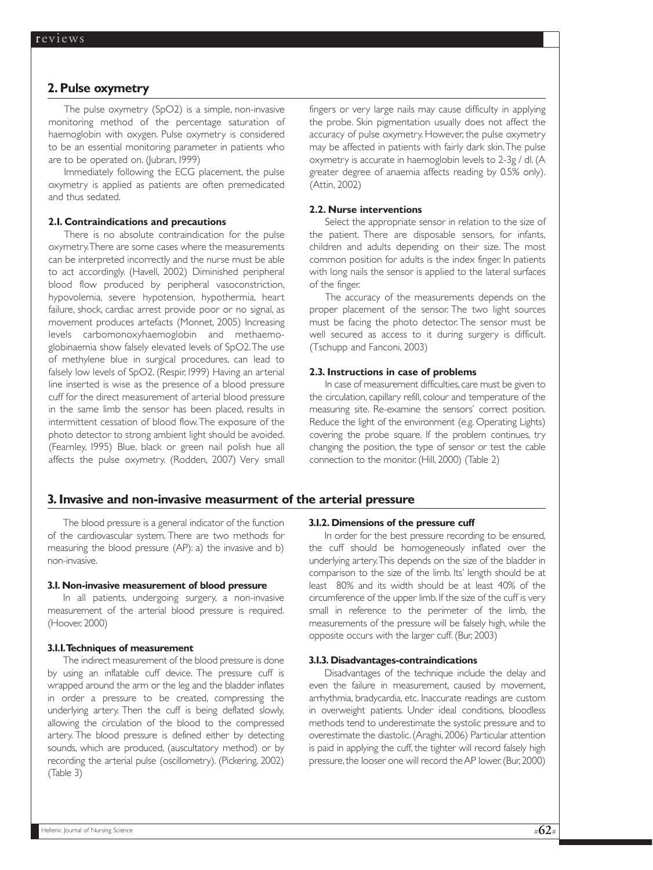## **2. Pulse oxymetry**

The pulse oxymetry (SpO2) is a simple, non-invasive monitoring method of the percentage saturation of haemoglobin with oxygen. Pulse oxymetry is considered to be an essential monitoring parameter in patients who are to be operated on. (Jubran, 1999)

Immediately following the ECG placement, the pulse oxymetry is applied as patients are often premedicated and thus sedated.

#### **2.1. Contraindications and precautions**

There is no absolute contraindication for the pulse oxymetry.There are some cases where the measurements can be interpreted incorrectly and the nurse must be able to act accordingly. (Havell, 2002) Diminished peripheral blood flow produced by peripheral vasoconstriction, hypovolemia, severe hypotension, hypothermia, heart failure, shock, cardiac arrest provide poor or no signal, as movement produces artefacts (Monnet, 2005) Increasing levels carbomonoxyhaemoglobin and methaemoglobinaemia show falsely elevated levels of SpO2.The use of methylene blue in surgical procedures, can lead to falsely low levels of SpO2. (Respir, 1999) Having an arterial line inserted is wise as the presence of a blood pressure cuff for the direct measurement of arterial blood pressure in the same limb the sensor has been placed, results in intermittent cessation of blood flow.The exposure of the photo detector to strong ambient light should be avoided. (Fearnley, 1995) Blue, black or green nail polish hue all affects the pulse oxymetry. (Rodden, 2007) Very small fingers or very large nails may cause difficulty in applying the probe. Skin pigmentation usually does not affect the accuracy of pulse oxymetry. However, the pulse oxymetry may be affected in patients with fairly dark skin.The pulse oxymetry is accurate in haemoglobin levels to 2-3g / dl. (A greater degree of anaemia affects reading by 0.5% only). (Attin, 2002)

#### **2.2. Nurse interventions**

Select the appropriate sensor in relation to the size of the patient. There are disposable sensors, for infants, children and adults depending on their size. The most common position for adults is the index finger. In patients with long nails the sensor is applied to the lateral surfaces of the finger.

The accuracy of the measurements depends on the proper placement of the sensor. The two light sources must be facing the photo detector. The sensor must be well secured as access to it during surgery is difficult. (Tschupp and Fanconi, 2003)

#### **2.3. Instructions in case of problems**

In case of measurement difficulties, care must be given to the circulation, capillary refill, colour and temperature of the measuring site. Re-examine the sensors' correct position. Reduce the light of the environment (e.g. Operating Lights) covering the probe square. If the problem continues, try changing the position, the type of sensor or test the cable connection to the monitor. (Hill, 2000) (Table 2)

#### **3. Invasive and non-invasive measurment of the arterial pressure**

The blood pressure is a general indicator of the function of the cardiovascular system. There are two methods for measuring the blood pressure (AP): a) the invasive and b) non-invasive.

#### **3.1. Non-invasive measurement of blood pressure**

In all patients, undergoing surgery, a non-invasive measurement of the arterial blood pressure is required. (Hoover, 2000)

#### **3.1.1.Techniques of measurement**

The indirect measurement of the blood pressure is done by using an inflatable cuff device. The pressure cuff is wrapped around the arm or the leg and the bladder inflates in order a pressure to be created, compressing the underlying artery. Then the cuff is being deflated slowly, allowing the circulation of the blood to the compressed artery. The blood pressure is defined either by detecting sounds, which are produced, (auscultatory method) or by recording the arterial pulse (oscillometry). (Pickering, 2002) (Table 3)

#### **3.1.2. Dimensions of the pressure cuff**

In order for the best pressure recording to be ensured, the cuff should be homogeneously inflated over the underlying artery.This depends on the size of the bladder in comparison to the size of the limb. Its' length should be at least 80% and its width should be at least 40% of the circumference of the upper limb. If the size of the cuff is very small in reference to the perimeter of the limb, the measurements of the pressure will be falsely high, while the opposite occurs with the larger cuff. (Bur, 2003)

#### **3.1.3. Disadvantages-contraindications**

Disadvantages of the technique include the delay and even the failure in measurement, caused by movement, arrhythmia, bradycardia, etc. Inaccurate readings are custom in overweight patients. Under ideal conditions, bloodless methods tend to underestimate the systolic pressure and to overestimate the diastolic.(Araghi,2006) Particular attention is paid in applying the cuff, the tighter will record falsely high pressure, the looser one will record the AP lower. (Bur, 2000)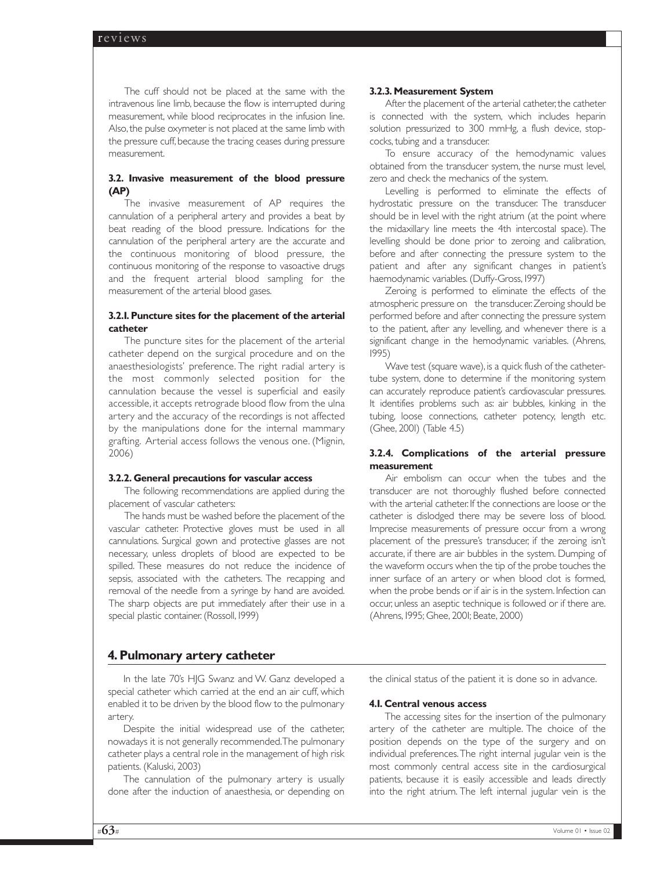The cuff should not be placed at the same with the intravenous line limb, because the flow is interrupted during measurement, while blood reciprocates in the infusion line. Also, the pulse oxymeter is not placed at the same limb with the pressure cuff, because the tracing ceases during pressure measurement.

### **3.2. Invasive measurement of the blood pressure (AP)**

The invasive measurement of AP requires the cannulation of a peripheral artery and provides a beat by beat reading of the blood pressure. Indications for the cannulation of the peripheral artery are the accurate and the continuous monitoring of blood pressure, the continuous monitoring of the response to vasoactive drugs and the frequent arterial blood sampling for the measurement of the arterial blood gases.

### **3.2.1. Puncture sites for the placement of the arterial catheter**

The puncture sites for the placement of the arterial catheter depend on the surgical procedure and on the anaesthesiologists' preference. The right radial artery is the most commonly selected position for the cannulation because the vessel is superficial and easily accessible, it accepts retrograde blood flow from the ulna artery and the accuracy of the recordings is not affected by the manipulations done for the internal mammary grafting. Arterial access follows the venous one. (Mignin, 2006)

#### **3.2.2. General precautions for vascular access**

The following recommendations are applied during the placement of vascular catheters:

The hands must be washed before the placement of the vascular catheter. Protective gloves must be used in all cannulations. Surgical gown and protective glasses are not necessary, unless droplets of blood are expected to be spilled. These measures do not reduce the incidence of sepsis, associated with the catheters. The recapping and removal of the needle from a syringe by hand are avoided. The sharp objects are put immediately after their use in a special plastic container. (Rossoll, 1999)

## **4. Pulmonary artery catheter**

In the late 70's HJG Swanz and W. Ganz developed a special catheter which carried at the end an air cuff, which enabled it to be driven by the blood flow to the pulmonary artery.

Despite the initial widespread use of the catheter, nowadays it is not generally recommended.The pulmonary catheter plays a central role in the management of high risk patients. (Kaluski, 2003)

The cannulation of the pulmonary artery is usually done after the induction of anaesthesia, or depending on

#### **3.2.3. Measurement System**

After the placement of the arterial catheter, the catheter is connected with the system, which includes heparin solution pressurized to 300 mmHg, a flush device, stopcocks, tubing and a transducer.

To ensure accuracy of the hemodynamic values obtained from the transducer system, the nurse must level, zero and check the mechanics of the system.

Levelling is performed to eliminate the effects of hydrostatic pressure on the transducer. The transducer should be in level with the right atrium (at the point where the midaxillary line meets the 4th intercostal space). The levelling should be done prior to zeroing and calibration, before and after connecting the pressure system to the patient and after any significant changes in patient's haemodynamic variables. (Duffy-Gross, 1997)

Zeroing is performed to eliminate the effects of the atmospheric pressure on the transducer.Zeroing should be performed before and after connecting the pressure system to the patient, after any levelling, and whenever there is a significant change in the hemodynamic variables. (Ahrens, 1995)

Wave test (square wave), is a quick flush of the cathetertube system, done to determine if the monitoring system can accurately reproduce patient's cardiovascular pressures. It identifies problems such as: air bubbles, kinking in the tubing, loose connections, catheter potency, length etc. (Ghee, 2001) (Table 4.5)

#### **3.2.4. Complications of the arterial pressure measurement**

Air embolism can occur when the tubes and the transducer are not thoroughly flushed before connected with the arterial catheter. If the connections are loose or the catheter is dislodged there may be severe loss of blood. Imprecise measurements of pressure occur from a wrong placement of the pressure's transducer, if the zeroing isn't accurate, if there are air bubbles in the system. Dumping of the waveform occurs when the tip of the probe touches the inner surface of an artery or when blood clot is formed, when the probe bends or if air is in the system. Infection can occur, unless an aseptic technique is followed or if there are. (Ahrens, 1995; Ghee, 2001; Beate, 2000)

the clinical status of the patient it is done so in advance.

#### **4.1. Central venous access**

The accessing sites for the insertion of the pulmonary artery of the catheter are multiple. The choice of the position depends on the type of the surgery and on individual preferences.The right internal jugular vein is the most commonly central access site in the cardiosurgical patients, because it is easily accessible and leads directly into the right atrium. The left internal jugular vein is the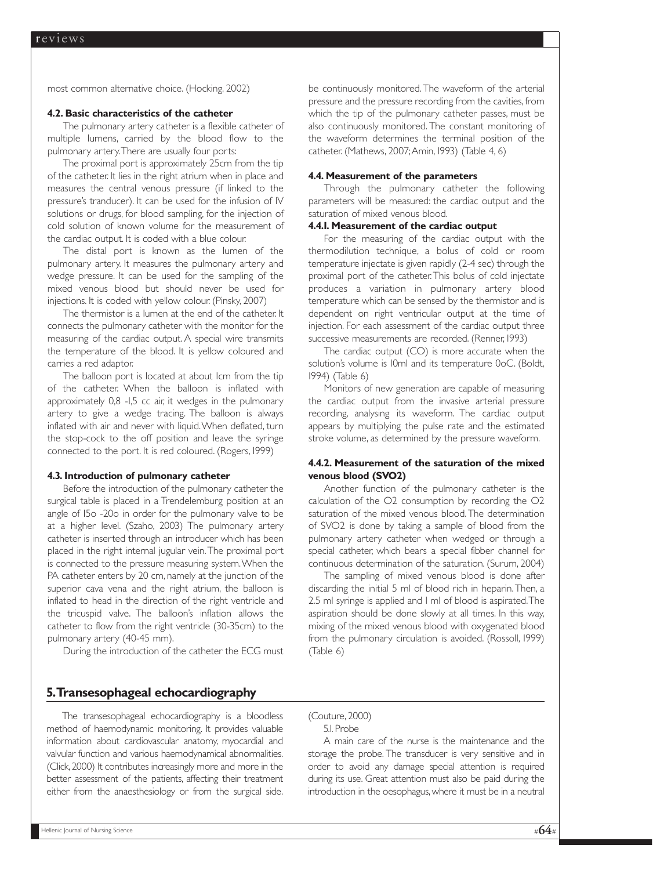most common alternative choice. (Hocking, 2002)

#### **4.2. Basic characteristics of the catheter**

The pulmonary artery catheter is a flexible catheter of multiple lumens, carried by the blood flow to the pulmonary artery.There are usually four ports:

The proximal port is approximately 25cm from the tip of the catheter. It lies in the right atrium when in place and measures the central venous pressure (if linked to the pressure's tranducer). It can be used for the infusion of IV solutions or drugs, for blood sampling, for the injection of cold solution of known volume for the measurement of the cardiac output. It is coded with a blue colour.

The distal port is known as the lumen of the pulmonary artery. It measures the pulmonary artery and wedge pressure. It can be used for the sampling of the mixed venous blood but should never be used for injections. It is coded with yellow colour. (Pinsky, 2007)

The thermistor is a lumen at the end of the catheter. It connects the pulmonary catheter with the monitor for the measuring of the cardiac output. A special wire transmits the temperature of the blood. It is yellow coloured and carries a red adaptor.

The balloon port is located at about Icm from the tip of the catheter. When the balloon is inflated with approximately 0,8 -1,5 cc air, it wedges in the pulmonary artery to give a wedge tracing. The balloon is always inflated with air and never with liquid.When deflated, turn the stop-cock to the off position and leave the syringe connected to the port. It is red coloured. (Rogers, 1999)

#### **4.3. Introduction of pulmonary catheter**

Before the introduction of the pulmonary catheter the surgical table is placed in a Trendelemburg position at an angle of 15o -20o in order for the pulmonary valve to be at a higher level. (Szaho, 2003) The pulmonary artery catheter is inserted through an introducer which has been placed in the right internal jugular vein.The proximal port is connected to the pressure measuring system.When the PA catheter enters by 20 cm, namely at the junction of the superior cava vena and the right atrium, the balloon is inflated to head in the direction of the right ventricle and the tricuspid valve. The balloon's inflation allows the catheter to flow from the right ventricle (30-35cm) to the pulmonary artery (40-45 mm).

During the introduction of the catheter the ECG must

#### **5.Transesophageal echocardiography**

The transesophageal echocardiography is a bloodless method of haemodynamic monitoring. It provides valuable information about cardiovascular anatomy, myocardial and valvular function and various haemodynamical abnormalities. (Click,2000) It contributes increasingly more and more in the better assessment of the patients, affecting their treatment either from the anaesthesiology or from the surgical side.

be continuously monitored. The waveform of the arterial pressure and the pressure recording from the cavities, from which the tip of the pulmonary catheter passes, must be also continuously monitored. The constant monitoring of the waveform determines the terminal position of the catheter. (Mathews, 2007;Amin, 1993) (Table 4, 6)

#### **4.4. Measurement of the parameters**

Through the pulmonary catheter the following parameters will be measured: the cardiac output and the saturation of mixed venous blood.

#### **4.4.1. Measurement of the cardiac output**

For the measuring of the cardiac output with the thermodilution technique, a bolus of cold or room temperature injectate is given rapidly (2-4 sec) through the proximal port of the catheter.This bolus of cold injectate produces a variation in pulmonary artery blood temperature which can be sensed by the thermistor and is dependent on right ventricular output at the time of injection. For each assessment of the cardiac output three successive measurements are recorded. (Renner, 1993)

The cardiac output (CO) is more accurate when the solution's volume is 10ml and its temperature 0oC. (Boldt, 1994) (Table 6)

Monitors of new generation are capable of measuring the cardiac output from the invasive arterial pressure recording, analysing its waveform. The cardiac output appears by multiplying the pulse rate and the estimated stroke volume, as determined by the pressure waveform.

### **4.4.2. Measurement of the saturation of the mixed venous blood (SVO2)**

Another function of the pulmonary catheter is the calculation of the O2 consumption by recording the O2 saturation of the mixed venous blood.The determination of SVO2 is done by taking a sample of blood from the pulmonary artery catheter when wedged or through a special catheter, which bears a special fibber channel for continuous determination of the saturation. (Surum, 2004)

The sampling of mixed venous blood is done after discarding the initial 5 ml of blood rich in heparin.Then, a 2.5 ml syringe is applied and 1 ml of blood is aspirated.The aspiration should be done slowly at all times. In this way, mixing of the mixed venous blood with oxygenated blood from the pulmonary circulation is avoided. (Rossoll, 1999) (Table 6)

(Couture, 2000) 5.1. Probe

A main care of the nurse is the maintenance and the storage the probe. The transducer is very sensitive and in order to avoid any damage special attention is required during its use. Great attention must also be paid during the introduction in the oesophagus,where it must be in a neutral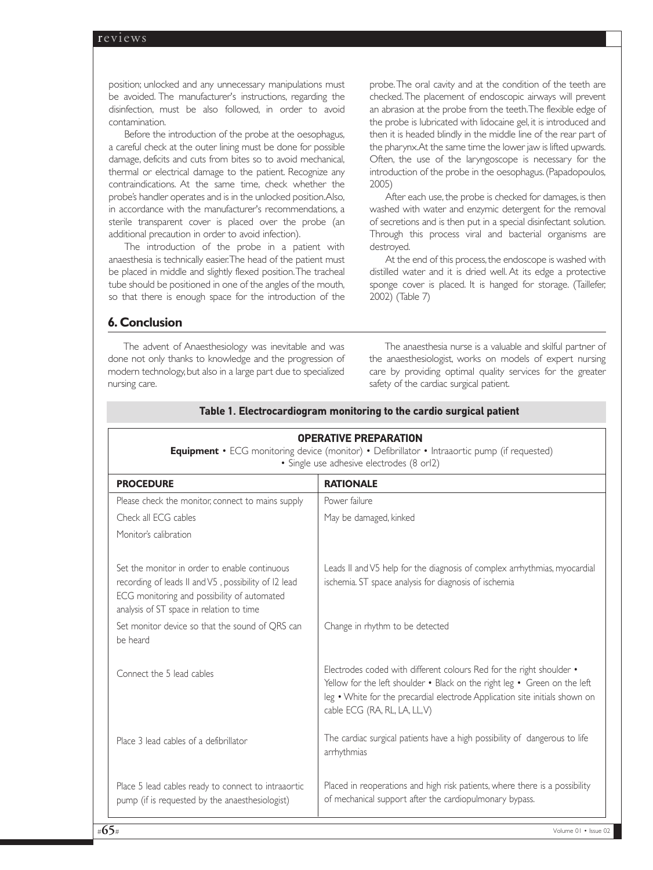position; unlocked and any unnecessary manipulations must be avoided. The manufacturer's instructions, regarding the disinfection, must be also followed, in order to avoid contamination.

Before the introduction of the probe at the oesophagus, a careful check at the outer lining must be done for possible damage, deficits and cuts from bites so to avoid mechanical, thermal or electrical damage to the patient. Recognize any contraindications. At the same time, check whether the probe's handler operates and is in the unlocked position.Also, in accordance with the manufacturer's recommendations, a sterile transparent cover is placed over the probe (an additional precaution in order to avoid infection).

The introduction of the probe in a patient with anaesthesia is technically easier.The head of the patient must be placed in middle and slightly flexed position.The tracheal tube should be positioned in one of the angles of the mouth, so that there is enough space for the introduction of the

probe.The oral cavity and at the condition of the teeth are checked.The placement of endoscopic airways will prevent an abrasion at the probe from the teeth.The flexible edge of the probe is lubricated with lidocaine gel, it is introduced and then it is headed blindly in the middle line of the rear part of the pharynx.At the same time the lower jaw is lifted upwards. Often, the use of the laryngoscope is necessary for the introduction of the probe in the oesophagus.(Papadopoulos, 2005)

After each use, the probe is checked for damages, is then washed with water and enzymic detergent for the removal of secretions and is then put in a special disinfectant solution. Through this process viral and bacterial organisms are destroyed.

At the end of this process, the endoscope is washed with distilled water and it is dried well. At its edge a protective sponge cover is placed. It is hanged for storage. (Taillefer, 2002) (Table 7)

### **6. Conclusion**

The advent of Anaesthesiology was inevitable and was done not only thanks to knowledge and the progression of modern technology,but also in a large part due to specialized nursing care.

The anaesthesia nurse is a valuable and skilful partner of the anaesthesiologist, works on models of expert nursing care by providing optimal quality services for the greater safety of the cardiac surgical patient.

| <b>OPERATIVE PREPARATION</b><br>Equipment • ECG monitoring device (monitor) • Defibrillator • Intraaortic pump (if requested)<br>· Single use adhesive electrodes (8 orl2)                       |                                                                                                                                                                                                                                                                   |
|--------------------------------------------------------------------------------------------------------------------------------------------------------------------------------------------------|-------------------------------------------------------------------------------------------------------------------------------------------------------------------------------------------------------------------------------------------------------------------|
| <b>PROCEDURE</b>                                                                                                                                                                                 | <b>RATIONALE</b>                                                                                                                                                                                                                                                  |
| Please check the monitor, connect to mains supply                                                                                                                                                | Power failure                                                                                                                                                                                                                                                     |
| Check all ECG cables                                                                                                                                                                             | May be damaged, kinked                                                                                                                                                                                                                                            |
| Monitor's calibration                                                                                                                                                                            |                                                                                                                                                                                                                                                                   |
| Set the monitor in order to enable continuous<br>recording of leads II and V5, possibility of I2 lead<br>ECG monitoring and possibility of automated<br>analysis of ST space in relation to time | Leads II and V5 help for the diagnosis of complex arrhythmias, myocardial<br>ischemia. ST space analysis for diagnosis of ischemia                                                                                                                                |
| Set monitor device so that the sound of QRS can<br>be heard                                                                                                                                      | Change in rhythm to be detected                                                                                                                                                                                                                                   |
| Connect the 5 lead cables                                                                                                                                                                        | Electrodes coded with different colours Red for the right shoulder .<br>Yellow for the left shoulder . Black on the right leg . Green on the left<br>leg • White for the precardial electrode Application site initials shown on<br>cable ECG (RA, RL, LA, LL, V) |
| Place 3 lead cables of a defibrillator                                                                                                                                                           | The cardiac surgical patients have a high possibility of dangerous to life<br>arrhythmias                                                                                                                                                                         |
| Place 5 lead cables ready to connect to intraaortic<br>pump (if is requested by the anaesthesiologist)                                                                                           | Placed in reoperations and high risk patients, where there is a possibility<br>of mechanical support after the cardiopulmonary bypass.                                                                                                                            |

## **Table 1. Electrocardiogram monitoring to the cardio surgical patient**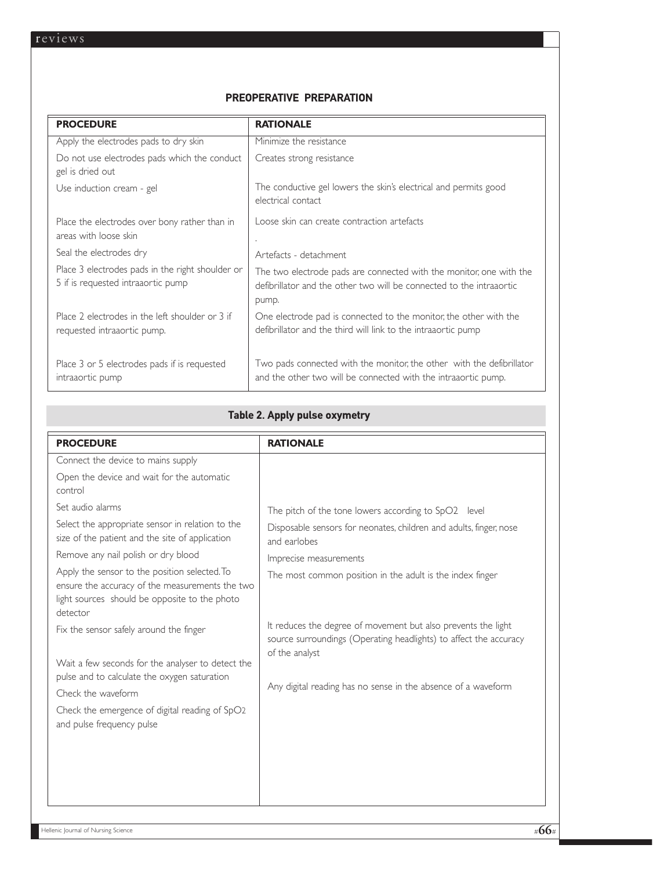## **PREOPERATIVE PREPARATION**

| <b>PROCEDURE</b>                                                                       | <b>RATIONALE</b>                                                                                                                                     |
|----------------------------------------------------------------------------------------|------------------------------------------------------------------------------------------------------------------------------------------------------|
| Apply the electrodes pads to dry skin                                                  | Minimize the resistance                                                                                                                              |
| Do not use electrodes pads which the conduct<br>gel is dried out                       | Creates strong resistance                                                                                                                            |
| Use induction cream - gel                                                              | The conductive gel lowers the skin's electrical and permits good<br>electrical contact                                                               |
| Place the electrodes over bony rather than in<br>areas with loose skin                 | Loose skin can create contraction artefacts                                                                                                          |
| Seal the electrodes dry                                                                | Artefacts - detachment                                                                                                                               |
| Place 3 electrodes pads in the right shoulder or<br>5 if is requested intraaortic pump | The two electrode pads are connected with the monitor, one with the<br>defibrillator and the other two will be connected to the intraaortic<br>pump. |
| Place 2 electrodes in the left shoulder or 3 if<br>requested intraaortic pump.         | One electrode pad is connected to the monitor, the other with the<br>defibrillator and the third will link to the intraaortic pump                   |
| Place 3 or 5 electrodes pads if is requested<br>intraaortic pump                       | Two pads connected with the monitor, the other with the defibrillator<br>and the other two will be connected with the intraaortic pump.              |

## **Table 2. Apply pulse oxymetry**

| <b>PROCEDURE</b>                                                                                                                                                                                                                                                   | <b>RATIONALE</b>                                                                                                                                                                                                                  |
|--------------------------------------------------------------------------------------------------------------------------------------------------------------------------------------------------------------------------------------------------------------------|-----------------------------------------------------------------------------------------------------------------------------------------------------------------------------------------------------------------------------------|
| Connect the device to mains supply                                                                                                                                                                                                                                 |                                                                                                                                                                                                                                   |
| Open the device and wait for the automatic<br>control                                                                                                                                                                                                              |                                                                                                                                                                                                                                   |
| Set audio alarms<br>Select the appropriate sensor in relation to the<br>size of the patient and the site of application<br>Remove any nail polish or dry blood<br>Apply the sensor to the position selected. To<br>ensure the accuracy of the measurements the two | The pitch of the tone lowers according to SpO2 level<br>Disposable sensors for neonates, children and adults, finger, nose<br>and earlobes<br>Imprecise measurements<br>The most common position in the adult is the index finger |
| light sources should be opposite to the photo<br>detector                                                                                                                                                                                                          | It reduces the degree of movement but also prevents the light                                                                                                                                                                     |
| Fix the sensor safely around the finger<br>Wait a few seconds for the analyser to detect the<br>pulse and to calculate the oxygen saturation<br>Check the waveform<br>Check the emergence of digital reading of SpO2<br>and pulse frequency pulse                  | source surroundings (Operating headlights) to affect the accuracy<br>of the analyst<br>Any digital reading has no sense in the absence of a waveform                                                                              |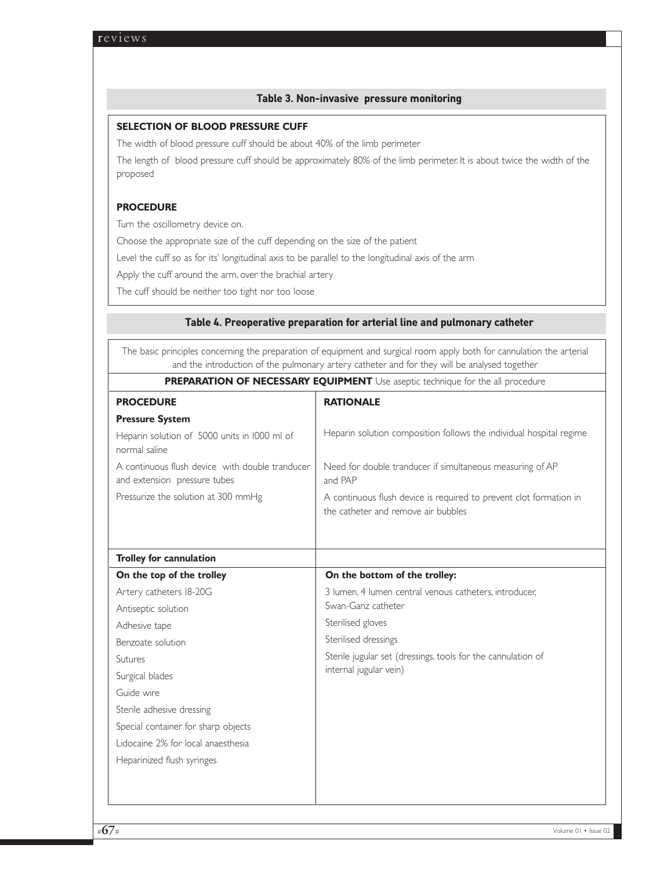### **Table 3. Non-invasive pressure monitoring**

## **SELECTION OF BLOOD PRESSURE CUFF**

The width of blood pressure cuff should be about 40% of the limb perimeter

The length of blood pressure cuff should be approximately 80% of the limb perimeter. It is about twice the width of the proposed

## **PROCEDURE**

Turn the oscillometry device on.

Choose the appropriate size of the cuff depending on the size of the patient

Level the cuff so as for its' longitudinal axis to be parallel to the longitudinal axis of the arm

Apply the cuff around the arm, over the brachial artery

The cuff should be neither too tight nor too loose

### **Table 4. Preoperative preparation for arterial line and pulmonary catheter**

The basic principles concerning the preparation of equipment and surgical room apply both for cannulation the arterial and the introduction of the pulmonary artery catheter and for they will be analysed together **PREPARATION OF NECESSARY EQUIPMENT** Use aseptic technique for the all procedure

| <b>PROCEDURE</b>                                                                | <b>RATIONALE</b>                                                                                          |
|---------------------------------------------------------------------------------|-----------------------------------------------------------------------------------------------------------|
| <b>Pressure System</b>                                                          |                                                                                                           |
| Heparin solution of 5000 units in 1000 ml of<br>normal saline                   | Heparin solution composition follows the individual hospital regime                                       |
| A continuous flush device with double tranducer<br>and extension pressure tubes | Need for double tranducer if simultaneous measuring of AP<br>and PAP                                      |
| Pressurize the solution at 300 mmHg                                             | A continuous flush device is required to prevent clot formation in<br>the catheter and remove air bubbles |
| <b>Trolley for cannulation</b>                                                  |                                                                                                           |
| On the top of the trolley                                                       | On the bottom of the trolley:                                                                             |
| Artery catheters 18-20G                                                         | 3 lumen, 4 lumen central venous catheters, introducer,                                                    |
| Antiseptic solution                                                             | Swan-Ganz catheter                                                                                        |
| Adhesive tape                                                                   | Sterilised gloves                                                                                         |
| Benzoate solution                                                               | Sterilised dressings                                                                                      |
| Sutures                                                                         | Sterile jugular set (dressings, tools for the cannulation of                                              |
| Surgical blades                                                                 | internal jugular vein)                                                                                    |
| Guide wire                                                                      |                                                                                                           |
| Sterile adhesive dressing                                                       |                                                                                                           |
| Special container for sharp objects                                             |                                                                                                           |
| Lidocaine 2% for local anaesthesia                                              |                                                                                                           |
| Heparinized flush syringes                                                      |                                                                                                           |
|                                                                                 |                                                                                                           |
|                                                                                 |                                                                                                           |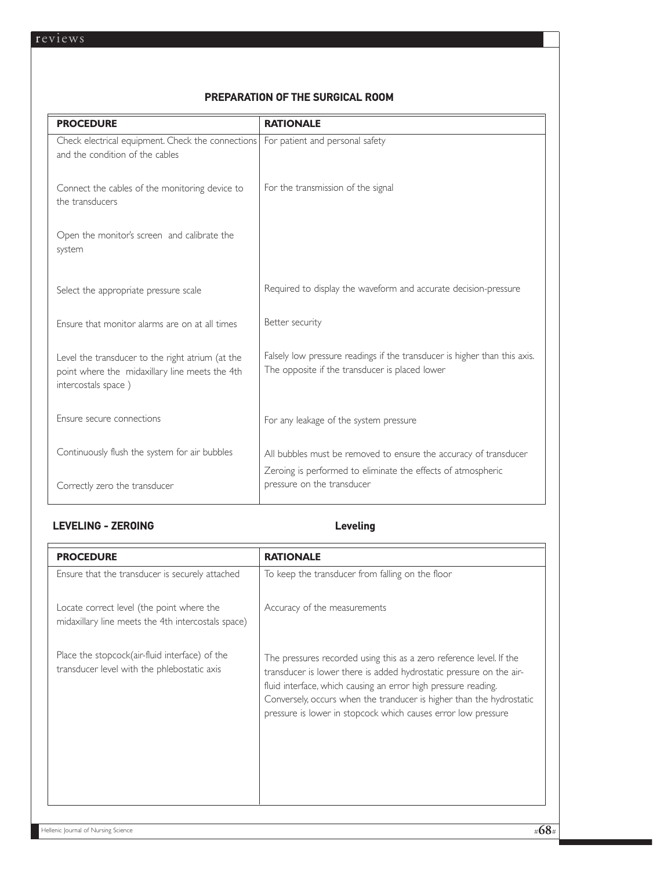## **PREPARATION OF THE SURGICAL ROOM**

| <b>PROCEDURE</b>                                                                                                          | <b>RATIONALE</b>                                                                                                                 |
|---------------------------------------------------------------------------------------------------------------------------|----------------------------------------------------------------------------------------------------------------------------------|
| Check electrical equipment. Check the connections<br>and the condition of the cables                                      | For patient and personal safety                                                                                                  |
| Connect the cables of the monitoring device to<br>the transducers                                                         | For the transmission of the signal                                                                                               |
| Open the monitor's screen and calibrate the<br>system                                                                     |                                                                                                                                  |
| Select the appropriate pressure scale                                                                                     | Required to display the waveform and accurate decision-pressure                                                                  |
| Ensure that monitor alarms are on at all times                                                                            | Better security                                                                                                                  |
| Level the transducer to the right atrium (at the<br>point where the midaxillary line meets the 4th<br>intercostals space) | Falsely low pressure readings if the transducer is higher than this axis.<br>The opposite if the transducer is placed lower      |
| Ensure secure connections                                                                                                 | For any leakage of the system pressure                                                                                           |
| Continuously flush the system for air bubbles                                                                             | All bubbles must be removed to ensure the accuracy of transducer<br>Zeroing is performed to eliminate the effects of atmospheric |
| Correctly zero the transducer                                                                                             | pressure on the transducer                                                                                                       |

## LEVELING - ZEROING **Leveling**

| <b>PROCEDURE</b>                                                                                | <b>RATIONALE</b>                                                                                                                                                                                                                                                                                                                                      |
|-------------------------------------------------------------------------------------------------|-------------------------------------------------------------------------------------------------------------------------------------------------------------------------------------------------------------------------------------------------------------------------------------------------------------------------------------------------------|
| Ensure that the transducer is securely attached                                                 | To keep the transducer from falling on the floor                                                                                                                                                                                                                                                                                                      |
| Locate correct level (the point where the<br>midaxillary line meets the 4th intercostals space) | Accuracy of the measurements                                                                                                                                                                                                                                                                                                                          |
| Place the stopcock(air-fluid interface) of the<br>transducer level with the phlebostatic axis   | The pressures recorded using this as a zero reference level. If the<br>transducer is lower there is added hydrostatic pressure on the air-<br>fluid interface, which causing an error high pressure reading.<br>Conversely, occurs when the tranducer is higher than the hydrostatic<br>pressure is lower in stopcock which causes error low pressure |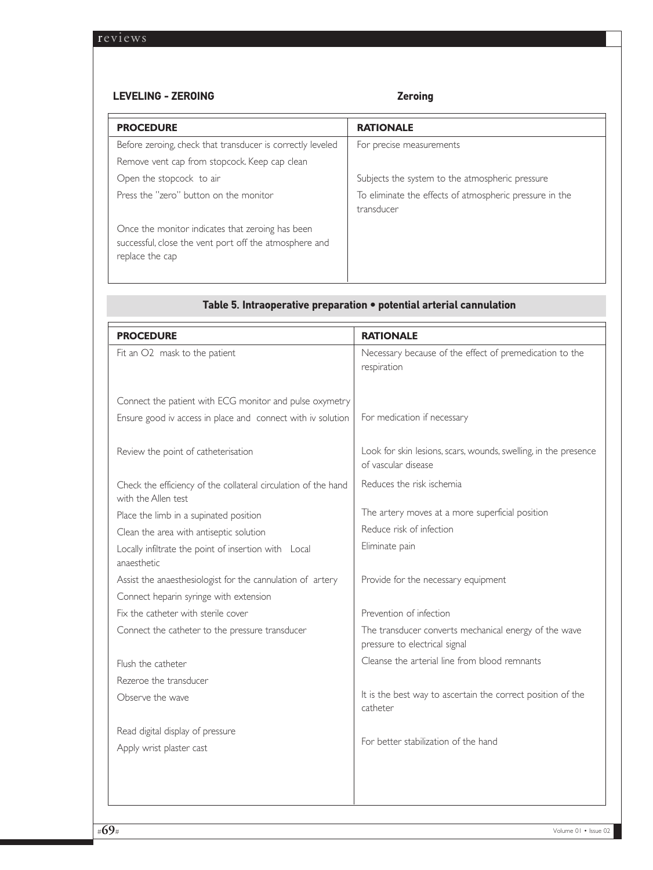## **LEVELING - ZEROING Zeroing**

| <b>PROCEDURE</b>                                                                                                              | <b>RATIONALE</b>                                                      |
|-------------------------------------------------------------------------------------------------------------------------------|-----------------------------------------------------------------------|
| Before zeroing, check that transducer is correctly leveled                                                                    | For precise measurements                                              |
| Remove vent cap from stopcock. Keep cap clean                                                                                 |                                                                       |
| Open the stopcock to air                                                                                                      | Subjects the system to the atmospheric pressure                       |
| Press the "zero" button on the monitor                                                                                        | To eliminate the effects of atmospheric pressure in the<br>transducer |
| Once the monitor indicates that zeroing has been<br>successful, close the vent port off the atmosphere and<br>replace the cap |                                                                       |

|                                                                | <b>RATIONALE</b>                                                                       |
|----------------------------------------------------------------|----------------------------------------------------------------------------------------|
| <b>PROCEDURE</b>                                               |                                                                                        |
| Fit an O2 mask to the patient                                  | Necessary because of the effect of premedication to the<br>respiration                 |
|                                                                |                                                                                        |
|                                                                |                                                                                        |
| Connect the patient with ECG monitor and pulse oxymetry        |                                                                                        |
| Ensure good iv access in place and connect with iv solution    | For medication if necessary                                                            |
|                                                                |                                                                                        |
| Review the point of catheterisation                            | Look for skin lesions, scars, wounds, swelling, in the presence<br>of vascular disease |
|                                                                |                                                                                        |
| Check the efficiency of the collateral circulation of the hand | Reduces the risk ischemia                                                              |
| with the Allen test                                            |                                                                                        |
| Place the limb in a supinated position                         | The artery moves at a more superficial position                                        |
| Clean the area with antiseptic solution                        | Reduce risk of infection                                                               |
| Locally infiltrate the point of insertion with Local           | Eliminate pain                                                                         |
| anaesthetic                                                    |                                                                                        |
| Assist the anaesthesiologist for the cannulation of artery     | Provide for the necessary equipment                                                    |
| Connect heparin syringe with extension                         |                                                                                        |
| Fix the catheter with sterile cover                            | Prevention of infection                                                                |
| Connect the catheter to the pressure transducer                | The transducer converts mechanical energy of the wave                                  |
|                                                                | pressure to electrical signal                                                          |
| Flush the catheter                                             | Cleanse the arterial line from blood remnants                                          |
| Rezeroe the transducer                                         |                                                                                        |
| Observe the wave                                               | It is the best way to ascertain the correct position of the                            |
|                                                                | catheter                                                                               |
| Read digital display of pressure                               |                                                                                        |
| Apply wrist plaster cast                                       | For better stabilization of the hand                                                   |
|                                                                |                                                                                        |
|                                                                |                                                                                        |
|                                                                |                                                                                        |
|                                                                |                                                                                        |

# **Table 5. Intraoperative preparation • potential arterial cannulation**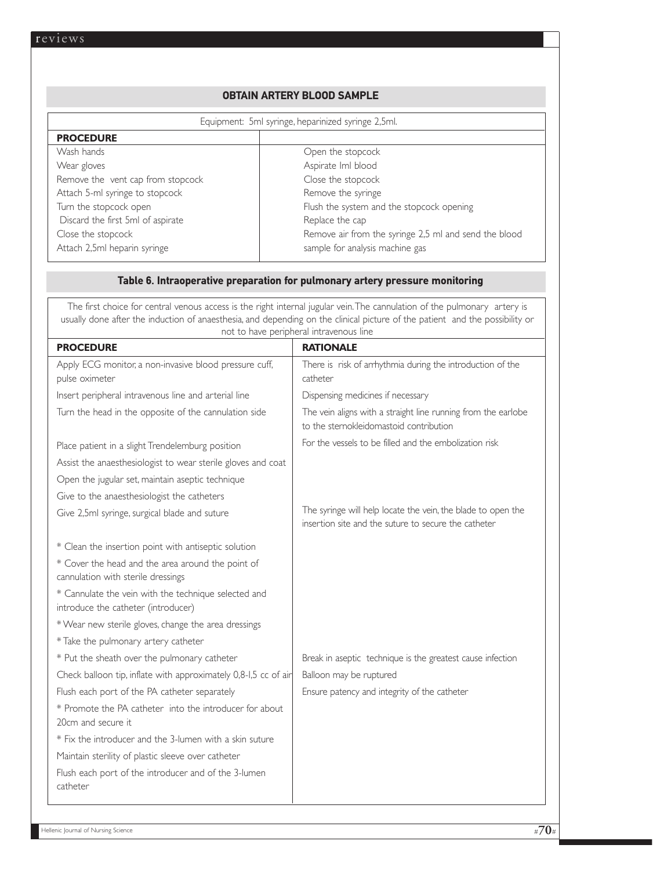## **OBTAIN ARTERY BLOOD SAMPLE**

| Equipment: 5ml syringe, heparinized syringe 2,5ml. |                                                       |
|----------------------------------------------------|-------------------------------------------------------|
| <b>PROCEDURE</b>                                   |                                                       |
| Wash hands                                         | Open the stopcock                                     |
| Wear gloves                                        | Aspirate Iml blood                                    |
| Remove the vent cap from stopcock                  | Close the stopcock                                    |
| Attach 5-ml syringe to stopcock                    | Remove the syringe                                    |
| Turn the stopcock open                             | Flush the system and the stopcock opening             |
| Discard the first 5ml of aspirate                  | Replace the cap                                       |
| Close the stopcock                                 | Remove air from the syringe 2,5 ml and send the blood |
| Attach 2,5ml heparin syringe                       | sample for analysis machine gas                       |

## **Table 6. Intraoperative preparation for pulmonary artery pressure monitoring**

| The first choice for central venous access is the right internal jugular vein. The cannulation of the pulmonary artery is<br>usually done after the induction of anaesthesia, and depending on the clinical picture of the patient and the possibility or<br>not to have peripheral intravenous line |                                                                                                                      |
|------------------------------------------------------------------------------------------------------------------------------------------------------------------------------------------------------------------------------------------------------------------------------------------------------|----------------------------------------------------------------------------------------------------------------------|
| <b>PROCEDURE</b>                                                                                                                                                                                                                                                                                     | <b>RATIONALE</b>                                                                                                     |
| Apply ECG monitor, a non-invasive blood pressure cuff,<br>pulse oximeter                                                                                                                                                                                                                             | There is risk of arrhythmia during the introduction of the<br>catheter                                               |
| Insert peripheral intravenous line and arterial line                                                                                                                                                                                                                                                 | Dispensing medicines if necessary                                                                                    |
| Turn the head in the opposite of the cannulation side                                                                                                                                                                                                                                                | The vein aligns with a straight line running from the earlobe<br>to the sternokleidomastoid contribution             |
| Place patient in a slight Trendelemburg position                                                                                                                                                                                                                                                     | For the vessels to be filled and the embolization risk                                                               |
| Assist the anaesthesiologist to wear sterile gloves and coat                                                                                                                                                                                                                                         |                                                                                                                      |
| Open the jugular set, maintain aseptic technique                                                                                                                                                                                                                                                     |                                                                                                                      |
| Give to the anaesthesiologist the catheters                                                                                                                                                                                                                                                          |                                                                                                                      |
| Give 2,5ml syringe, surgical blade and suture                                                                                                                                                                                                                                                        | The syringe will help locate the vein, the blade to open the<br>insertion site and the suture to secure the catheter |
| * Clean the insertion point with antiseptic solution                                                                                                                                                                                                                                                 |                                                                                                                      |
| * Cover the head and the area around the point of                                                                                                                                                                                                                                                    |                                                                                                                      |
| cannulation with sterile dressings                                                                                                                                                                                                                                                                   |                                                                                                                      |
| * Cannulate the vein with the technique selected and<br>introduce the catheter (introducer)                                                                                                                                                                                                          |                                                                                                                      |
| * Wear new sterile gloves, change the area dressings                                                                                                                                                                                                                                                 |                                                                                                                      |
| * Take the pulmonary artery catheter                                                                                                                                                                                                                                                                 |                                                                                                                      |
| * Put the sheath over the pulmonary catheter                                                                                                                                                                                                                                                         | Break in aseptic technique is the greatest cause infection                                                           |
| Check balloon tip, inflate with approximately 0,8-1,5 cc of air                                                                                                                                                                                                                                      | Balloon may be ruptured                                                                                              |
| Flush each port of the PA catheter separately                                                                                                                                                                                                                                                        | Ensure patency and integrity of the catheter                                                                         |
| * Promote the PA catheter into the introducer for about                                                                                                                                                                                                                                              |                                                                                                                      |
| 20cm and secure it                                                                                                                                                                                                                                                                                   |                                                                                                                      |
| * Fix the introducer and the 3-lumen with a skin suture                                                                                                                                                                                                                                              |                                                                                                                      |
| Maintain sterility of plastic sleeve over catheter                                                                                                                                                                                                                                                   |                                                                                                                      |
| Flush each port of the introducer and of the 3-lumen<br>catheter                                                                                                                                                                                                                                     |                                                                                                                      |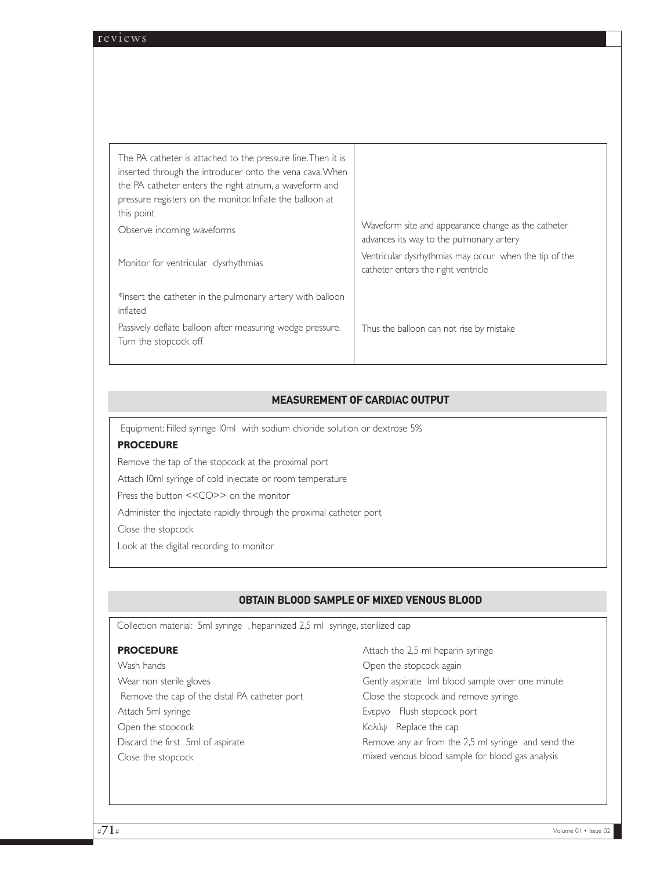| Waveform site and appearance change as the catheter                                           |
|-----------------------------------------------------------------------------------------------|
| advances its way to the pulmonary artery                                                      |
| Ventricular dysrhythmias may occur when the tip of the<br>catheter enters the right ventricle |
|                                                                                               |
| Thus the balloon can not rise by mistake                                                      |
|                                                                                               |

## **MEASUREMENT OF CARDIAC OUTPUT**

Equipment: Filled syringe 10ml with sodium chloride solution or dextrose 5%

### **PROCEDURE**

Remove the tap of the stopcock at the proximal port

Attach 10ml syringe of cold injectate or room temperature

Press the button <<CO>> on the monitor

Administer the injectate rapidly through the proximal catheter port

Close the stopcock

Look at the digital recording to monitor

## **OBTAIN BLOOD SAMPLE OF MIXED VENOUS BLOOD**

Collection material: 5ml syringe , heparinized 2,5 ml syringe, sterilized cap

#### **PROCEDURE**

Wash hands Wear non sterile gloves Remove the cap of the distal PA catheter port Attach 5ml syringe Open the stopcock Discard the first 5ml of aspirate Close the stopcock

Attach the 2,5 ml heparin syringe Open the stopcock again Gently aspirate Iml blood sample over one minute Close the stopcock and remove syringe Ενεργο Flush stopcock port Καλύψ Replace the cap Remove any air from the 2,5 ml syringe and send the mixed venous blood sample for blood gas analysis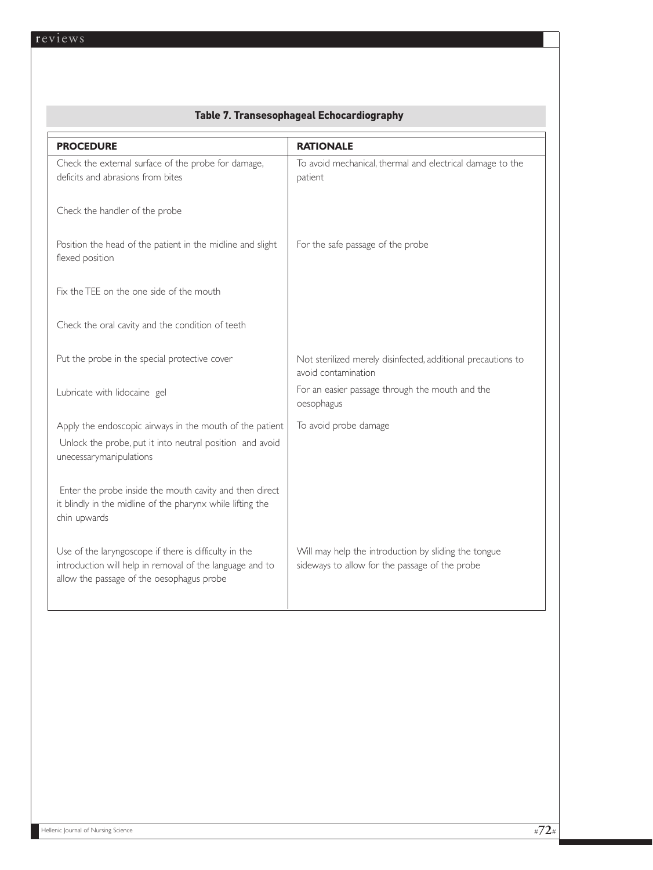| <b>PROCEDURE</b>                                                                                                                                               | <b>RATIONALE</b>                                                                                       |
|----------------------------------------------------------------------------------------------------------------------------------------------------------------|--------------------------------------------------------------------------------------------------------|
| Check the external surface of the probe for damage,<br>deficits and abrasions from bites                                                                       | To avoid mechanical, thermal and electrical damage to the<br>patient                                   |
| Check the handler of the probe                                                                                                                                 |                                                                                                        |
| Position the head of the patient in the midline and slight<br>flexed position                                                                                  | For the safe passage of the probe                                                                      |
| Fix the TEE on the one side of the mouth                                                                                                                       |                                                                                                        |
| Check the oral cavity and the condition of teeth                                                                                                               |                                                                                                        |
| Put the probe in the special protective cover                                                                                                                  | Not sterilized merely disinfected, additional precautions to<br>avoid contamination                    |
| Lubricate with lidocaine gel                                                                                                                                   | For an easier passage through the mouth and the<br>oesophagus                                          |
| Apply the endoscopic airways in the mouth of the patient<br>Unlock the probe, put it into neutral position and avoid<br>unecessarymanipulations                | To avoid probe damage                                                                                  |
| Enter the probe inside the mouth cavity and then direct<br>it blindly in the midline of the pharynx while lifting the<br>chin upwards                          |                                                                                                        |
| Use of the laryngoscope if there is difficulty in the<br>introduction will help in removal of the language and to<br>allow the passage of the oesophagus probe | Will may help the introduction by sliding the tongue<br>sideways to allow for the passage of the probe |

## **Table 7. Transesophageal Echocardiography**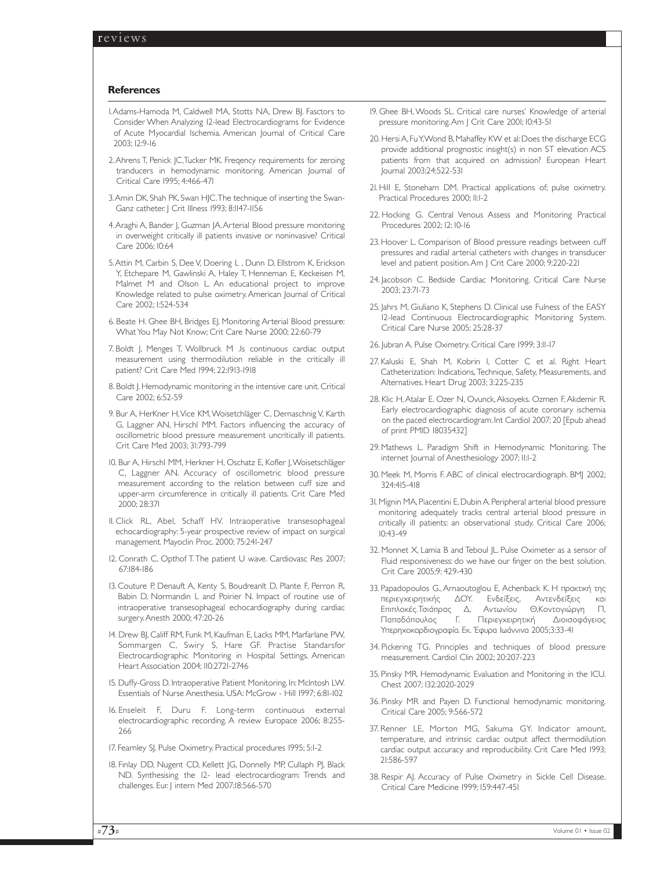#### **References**

- 1.Adams-Hamoda M, Caldwell MA, Stotts NA, Drew BJ. Fasctors to Consider When Analyzing 12-lead Electrocardiograms for Evidence of Acute Myocardial Ischemia. American Journal of Critical Care 2003; 12:9-16
- 2. Ahrens T, Penick JC, Tucker MK, Fregency requirements for zeroing tranducers in hemodynamic monitoring. American Journal of Critical Care 1995; 4:466-471
- 3. Amin DK, Shah PK, Swan HIC. The technique of inserting the Swan-Ganz catheter. J Crit Illness 1993; 8:1147-1156
- 4. Araghi A, Bander J, Guzman JA. Arterial Blood pressure monitoring in overweight critically ill patients invasive or noninvasive? Critical Care 2006; 10:64
- 5.Attin M, Carbin S, Dee V, Doering L , Dunn D, Ellstrom K, Erickson Y, Etchepare M, Gawlinski A, Haley T, Henneman E, Keckeisen M, Malmet M and Olson L. An educational project to improve Knowledge related to pulse oximetry. American Journal of Critical Care 2002; 1:524-534
- 6. Beate H. Ghee BH, Bridges EJ. Monitoring Arterial Blood pressure: What You May Not Know; Crit Care Nurse 2000; 22:60-79
- 7. Boldt J, Menges T, Wollbruck M .Is continuous cardiac output measurement using thermodilution reliable in the critically ill patient? Crit Care Med 1994; 22:1913-1918
- 8. Boldt J. Hemodynamic monitoring in the intensive care unit. Critical Care 2002; 6:52-59
- 9. Bur A, HerKner H, Vice KM, Woisetchläger C, Dernaschnig V, Karth G, Laggner AN, Hirschl MM. Factors influencing the accuracy of oscillometric blood pressure measurement uncritically ill patients. Crit Care Med 2003; 31:793-799
- 10. Bur A, Hirschl MM, Herkner H, Oschatz E, Kofler J,Woisetschläger C, Laggner AN. Accuracy of oscillometric blood pressure measurement according to the relation between cuff size and upper-arm circumference in critically ill patients. Crit Care Med 2000; 28:371
- 11. Click RL, Abel, Schaff HV. Intraoperative transesophageal echocardiography: 5-year prospective review of impact on surgical management. Mayoclin Proc. 2000; 75:241-247
- 12. Conrath C, Opthof T. The patient U wave. Cardiovasc Res 2007; 67:184-186
- 13. Couture P, Denauft A, Kenty S, Boudreanlt D, Plante F, Perron R, Babin D, Normandin L and Poirier N. Impact of routine use of intraoperative transesophageal echocardiography during cardiac surgery.Anesth 2000; 47:20-26
- 14. Drew BJ, Califf RM, Funk M, Kaufman E, Lacks MM, Marfarlane PW, Sommargen C, Swiry S, Hare GF. Practise Standarsfor Electrocardiographic Monitoring in Hospital Settings. American Heart Association 2004; 110:2721-2746
- 15. Duffy-Gross D. Intraoperative Patient Monitoring. In: Mclntosh LW. Essentials of Nurse Anesthesia. USA: McGrow - Hill 1997; 6:81-102
- 16. Enseleit F, Duru F. Long-term continuous external electrocardiographic recording. A review Europace 2006; 8:255- 266
- 17. Fearnley SJ. Pulse Oximetry. Practical procedures 1995; 5:1-2
- 18. Finlay DD, Nugent CD, Kellett JG, Donnelly MP, Cullaph PJ, Black ND. Synthesising the 12- lead electrocardiogram: Trends and challenges. Eur. J intern Med 2007;18:566-570
- 19. Ghee BH, Woods SL. Critical care nurses' Knowledge of arterial pressure monitoring.Am J Crit Care 2001; 10:43-51
- 20. Hersi A, Fu Y,Wond B, Mahaffey KW et al: Does the discharge ECG provide additional prognostic insight(s) in non ST elevation ACS patients from that acquired on admission? European Heart Journal 2003;24:522-531
- 21. Hill E, Stoneham DM. Practical applications of; pulse oximetry. Practical Procedures 2000; 11:1-2
- 22. Hocking G. Central Venous Assess and Monitoring Practical Procedures 2002; 12: 10-16
- 23. Hoover L. Comparison of Blood pressure readings between cuff pressures and radial arterial catheters with changes in transducer level and patient position.Am J Crit Care 2000; 9:220-221
- 24. Jacobson C. Bedside Cardiac Monitoring. Critical Care Nurse 2003; 23:71-73
- 25. Jahrs M, Giuliano K, Stephens D. Clinical use Fulness of the EASY 12-lead Continuous Electrocardiographic Monitoring System. Critical Care Nurse 2005; 25:28-37
- 26. Jubran A. Pulse Oximetry. Critical Care 1999; 3:11-17
- 27. Kaluski E, Shah M, Kobrin I, Cotter C et al. Right Heart Catheterization: Indications, Technique, Safety, Measurements, and Alternatives. Heart Drug 2003; 3:225-235
- 28. Klic H,Atalar E. Ozer N, Ovunck,Aksoyeks. Ozmen F,Akdemir R. Early electrocardiographic diagnosis of acute coronary ischemia on the paced electrocardiogram. Int Cardiol 2007; 20 [Epub ahead of print PMID 18035432]
- 29. Mathews L. Paradigm Shift in Hemodynamic Monitoring. The internet Journal of Anesthesiology 2007; 11:1-2
- 30. Meek M, Morris F. ABC of clinical electrocardiograph. BMJ 2002; 324:415-418
- 31. Mignin MA, Piacentini E, Dubin A. Peripheral arterial blood pressure monitoring adequately tracks central arterial blood pressure in critically ill patients: an observational study. Critical Care 2006; 10:43-49
- 32. Monnet X, Lamia B and Teboul JL. Pulse Oximeter as a sensor of Fluid responsiveness: do we have our finger on the best solution. Crit Care 2005;9: 429-430
- 33. Papadopoulos G., Arnaoutoglou Ε, Αchenback K. Η πρακτική της περιεγχειρητικής ∆ΟΥ. Ενδείξεις, Αντενδείξεις και Επιπλοκές.Tσιάπρας ∆, Αντωνίου Θ,Κοντογιώργη Π, Παπαδόπουλος Γ. Περιεγχειρητική ∆ιοισοφάγειος Υπερηχοκαρδιογραφία. Εκ. Έφυρα Ιωάννινα 2005;3:33-41
- 34. Pickering TG. Principles and techniques of blood pressure measurement. Cardiol Clin 2002; 20:207-223
- 35. Pinsky MR. Hemodynamic Evaluation and Monitoring in the ICU. Chest 2007; 132:2020-2029
- 36. Pinsky MR and Payen D. Functional hemodynamic monitoring. Critical Care 2005; 9:566-572
- 37. Renner LE, Morton MG, Sakuma GY. Indicator amount, temperature, and intrinsic cardiac output affect thermodilution cardiac output accuracy and reproducibility. Crit Care Med 1993; 21:586-597
- 38. Respir AJ. Accuracy of Pulse Oximetry in Sickle Cell Disease. Critical Care Medicine 1999; 159:447-451